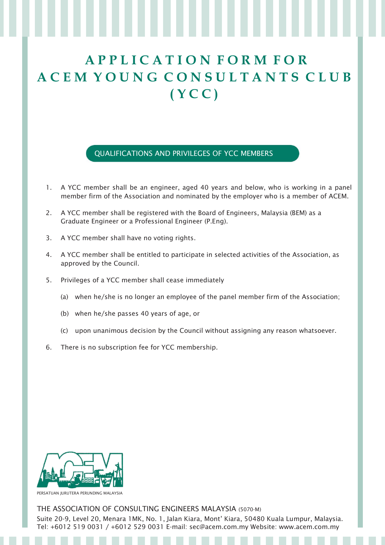## **A P P L I C A T I O N F O R M F O R A C E M Y O U N G C O N S U L T A N T S C L U B ( Y C C )**

QUALIFICATIONS AND PRIVILEGES OF YCC MEMBERS

- 1. A YCC member shall be an engineer, aged 40 years and below, who is working in a panel member firm of the Association and nominated by the employer who is a member of ACEM.
- 2. A YCC member shall be registered with the Board of Engineers, Malaysia (BEM) as a Graduate Engineer or a Professional Engineer (P.Eng).
- 3. A YCC member shall have no voting rights.
- 4. A YCC member shall be entitled to participate in selected activities of the Association, as approved by the Council.
- 5. Privileges of a YCC member shall cease immediately
	- (a) when he/she is no longer an employee of the panel member firm of the Association;
	- (b) when he/she passes 40 years of age, or
	- (c) upon unanimous decision by the Council without assigning any reason whatsoever.
- 6. There is no subscription fee for YCC membership.



THE ASSOCIATION OF CONSULTING ENGINEERS MALAYSIA (5070-M) Suite 20-9, Level 20, Menara 1MK, No. 1, Jalan Kiara, Mont' Kiara, 50480 Kuala Lumpur, Malaysia. Tel: +6012 519 0031 / +6012 529 0031 E-mail: sec@acem.com.my Website: www.acem.com.my